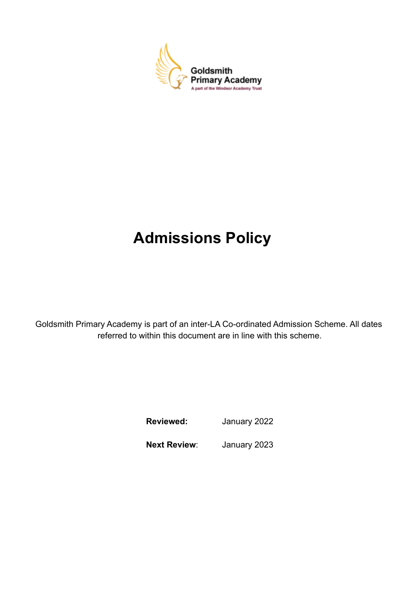

# **Admissions Policy**

Goldsmith Primary Academy is part of an inter-LA Co-ordinated Admission Scheme. All dates referred to within this document are in line with this scheme.

**Reviewed:** January 2022

**Next Review**: January 2023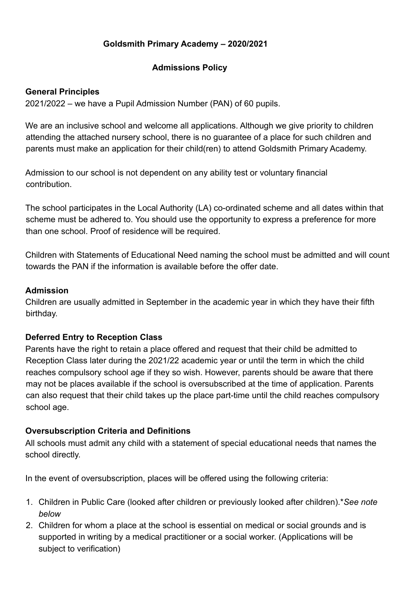## **Goldsmith Primary Academy – 2020/2021**

#### **Admissions Policy**

#### **General Principles**

2021/2022 – we have a Pupil Admission Number (PAN) of 60 pupils.

We are an inclusive school and welcome all applications. Although we give priority to children attending the attached nursery school, there is no guarantee of a place for such children and parents must make an application for their child(ren) to attend Goldsmith Primary Academy.

Admission to our school is not dependent on any ability test or voluntary financial contribution.

The school participates in the Local Authority (LA) co-ordinated scheme and all dates within that scheme must be adhered to. You should use the opportunity to express a preference for more than one school. Proof of residence will be required.

Children with Statements of Educational Need naming the school must be admitted and will count towards the PAN if the information is available before the offer date.

#### **Admission**

Children are usually admitted in September in the academic year in which they have their fifth birthday.

#### **Deferred Entry to Reception Class**

Parents have the right to retain a place offered and request that their child be admitted to Reception Class later during the 2021/22 academic year or until the term in which the child reaches compulsory school age if they so wish. However, parents should be aware that there may not be places available if the school is oversubscribed at the time of application. Parents can also request that their child takes up the place part-time until the child reaches compulsory school age.

#### **Oversubscription Criteria and Definitions**

All schools must admit any child with a statement of special educational needs that names the school directly.

In the event of oversubscription, places will be offered using the following criteria:

- 1. Children in Public Care (looked after children or previously looked after children).\**See note below*
- 2. Children for whom a place at the school is essential on medical or social grounds and is supported in writing by a medical practitioner or a social worker. (Applications will be subject to verification)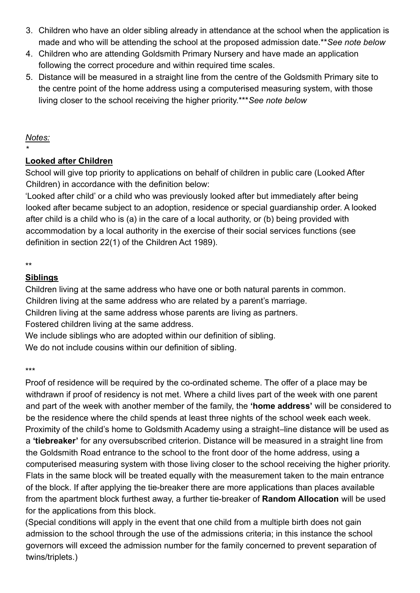- 3. Children who have an older sibling already in attendance at the school when the application is made and who will be attending the school at the proposed admission date.\*\**See note below*
- 4. Children who are attending Goldsmith Primary Nursery and have made an application following the correct procedure and within required time scales.
- 5. Distance will be measured in a straight line from the centre of the Goldsmith Primary site to the centre point of the home address using a computerised measuring system, with those living closer to the school receiving the higher priority.\*\*\**See note below*

#### *Notes:*

*\**

## **Looked after Children**

School will give top priority to applications on behalf of children in public care (Looked After Children) in accordance with the definition below:

'Looked after child' or a child who was previously looked after but immediately after being looked after became subject to an adoption, residence or special guardianship order. A looked after child is a child who is (a) in the care of a local authority, or (b) being provided with accommodation by a local authority in the exercise of their social services functions (see definition in section 22(1) of the Children Act 1989).

# **Siblings**

Children living at the same address who have one or both natural parents in common.

Children living at the same address who are related by a parent's marriage.

Children living at the same address whose parents are living as partners.

Fostered children living at the same address.

We include siblings who are adopted within our definition of sibling.

We do not include cousins within our definition of sibling.

\*\*\*

Proof of residence will be required by the co-ordinated scheme. The offer of a place may be withdrawn if proof of residency is not met. Where a child lives part of the week with one parent and part of the week with another member of the family, the **'home address'** will be considered to be the residence where the child spends at least three nights of the school week each week. Proximity of the child's home to Goldsmith Academy using a straight–line distance will be used as a **'tiebreaker'** for any oversubscribed criterion. Distance will be measured in a straight line from the Goldsmith Road entrance to the school to the front door of the home address, using a computerised measuring system with those living closer to the school receiving the higher priority. Flats in the same block will be treated equally with the measurement taken to the main entrance of the block. If after applying the tie-breaker there are more applications than places available from the apartment block furthest away, a further tie-breaker of **Random Allocation** will be used for the applications from this block.

(Special conditions will apply in the event that one child from a multiple birth does not gain admission to the school through the use of the admissions criteria; in this instance the school governors will exceed the admission number for the family concerned to prevent separation of twins/triplets.)

<sup>\*\*</sup>